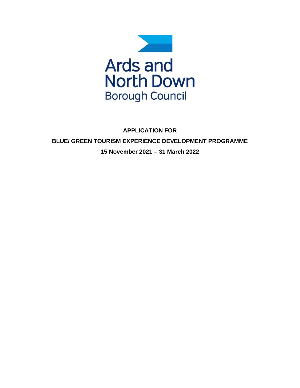

**APPLICATION FOR BLUE/ GREEN TOURISM EXPERIENCE DEVELOPMENT PROGRAMME 15 November 2021 – 31 March 2022**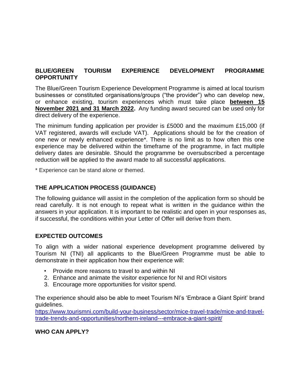# **BLUE/GREEN TOURISM EXPERIENCE DEVELOPMENT PROGRAMME OPPORTUNITY**

The Blue/Green Tourism Experience Development Programme is aimed at local tourism businesses or constituted organisations/groups ("the provider") who can develop new, or enhance existing, tourism experiences which must take place **between 15 November 2021 and 31 March 2022.** Any funding award secured can be used only for direct delivery of the experience.

The minimum funding application per provider is £5000 and the maximum £15,000 (if VAT registered, awards will exclude VAT). Applications should be for the creation of one new or newly enhanced experience\*. There is no limit as to how often this one experience may be delivered within the timeframe of the programme, in fact multiple delivery dates are desirable. Should the programme be oversubscribed a percentage reduction will be applied to the award made to all successful applications.

\* Experience can be stand alone or themed.

### **THE APPLICATION PROCESS (GUIDANCE)**

The following guidance will assist in the completion of the application form so should be read carefully. It is not enough to repeat what is written in the guidance within the answers in your application. It is important to be realistic and open in your responses as, if successful, the conditions within your Letter of Offer will derive from them.

### **EXPECTED OUTCOMES**

To align with a wider national experience development programme delivered by Tourism NI (TNI) all applicants to the Blue/Green Programme must be able to demonstrate in their application how their experience will:

- Provide more reasons to travel to and within NI
- 2. Enhance and animate the visitor experience for NI and ROI visitors
- 3. Encourage more opportunities for visitor spend.

The experience should also be able to meet Tourism NI's 'Embrace a Giant Spirit' brand guidelines.

[https://www.tourismni.com/build-your-business/sector/mice-travel-trade/mice-and-travel](https://www.tourismni.com/build-your-business/sector/mice-travel-trade/mice-and-travel-trade-trends-and-opportunities/northern-ireland---embrace-a-giant-spirit/)[trade-trends-and-opportunities/northern-ireland---embrace-a-giant-spirit/](https://www.tourismni.com/build-your-business/sector/mice-travel-trade/mice-and-travel-trade-trends-and-opportunities/northern-ireland---embrace-a-giant-spirit/)

### **WHO CAN APPLY?**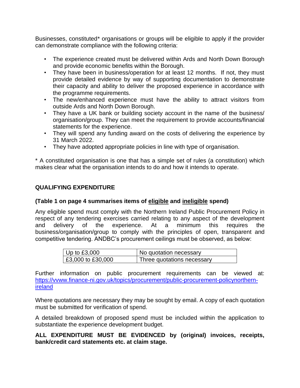Businesses, constituted\* organisations or groups will be eligible to apply if the provider can demonstrate compliance with the following criteria:

- The experience created must be delivered within Ards and North Down Borough and provide economic benefits within the Borough.
- They have been in business/operation for at least 12 months. If not, they must provide detailed evidence by way of supporting documentation to demonstrate their capacity and ability to deliver the proposed experience in accordance with the programme requirements.
- The new/enhanced experience must have the ability to attract visitors from outside Ards and North Down Borough.
- They have a UK bank or building society account in the name of the business/ organisation/group. They can meet the requirement to provide accounts/financial statements for the experience.
- They will spend any funding award on the costs of delivering the experience by 31 March 2022.
- They have adopted appropriate policies in line with type of organisation.

\* A constituted organisation is one that has a simple set of rules (a constitution) which makes clear what the organisation intends to do and how it intends to operate.

## **QUALIFYING EXPENDITURE**

### **(Table 1 on page 4 summarises items of eligible and ineligible spend)**

Any eligible spend must comply with the Northern Ireland Public Procurement Policy in respect of any tendering exercises carried relating to any aspect of the development and delivery of the experience. At a minimum this requires the business/organisation/group to comply with the principles of open, transparent and competitive tendering. ANDBC's procurement ceilings must be observed, as below:

| Up to $£3,000$            | No quotation necessary     |
|---------------------------|----------------------------|
| $\vert$ £3,000 to £30,000 | Three quotations necessary |

Further information on public procurement requirements can be viewed at: [https://vvww.finance-ni.gov.uk/topics/procurement/public-procurement-policynorthern](https://vvww.finance-ni.gov.uk/topics/procurement/public-procurement-policynorthern-ireland)[ireland](https://vvww.finance-ni.gov.uk/topics/procurement/public-procurement-policynorthern-ireland)

Where quotations are necessary they may be sought by email. A copy of each quotation must be submitted for verification of spend.

A detailed breakdown of proposed spend must be included within the application to substantiate the experience development budget.

### **ALL EXPENDITURE MUST BE EVIDENCED by (original) invoices, receipts, bank/credit card statements etc. at claim stage.**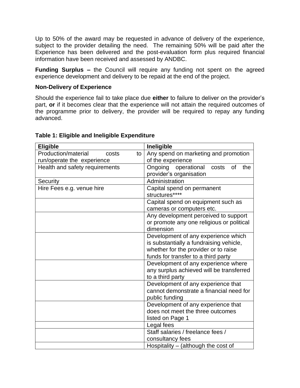Up to 50% of the award may be requested in advance of delivery of the experience, subject to the provider detailing the need. The remaining 50% will be paid after the Experience has been delivered and the post-evaluation form plus required financial information have been received and assessed by ANDBC.

**Funding Surplus –** the Council will require any funding not spent on the agreed experience development and delivery to be repaid at the end of the project.

### **Non-Delivery of Experience**

Should the experience fail to take place due **either** to failure to deliver on the provider's part, **or** if it becomes clear that the experience will not attain the required outcomes of the programme prior to delivery, the provider will be required to repay any funding advanced.

| <b>Eligible</b>                    | Ineligible                                |  |  |
|------------------------------------|-------------------------------------------|--|--|
| Production/material<br>costs<br>to | Any spend on marketing and promotion      |  |  |
| run/operate the experience         | of the experience                         |  |  |
| Health and safety requirements     | Ongoing operational<br>costs<br>0f<br>the |  |  |
|                                    | provider's organisation                   |  |  |
| Security                           | Administration                            |  |  |
| Hire Fees e.g. venue hire          | Capital spend on permanent                |  |  |
|                                    | structures****                            |  |  |
|                                    | Capital spend on equipment such as        |  |  |
|                                    | cameras or computers etc.                 |  |  |
|                                    | Any development perceived to support      |  |  |
|                                    | or promote any one religious or political |  |  |
|                                    | dimension                                 |  |  |
|                                    | Development of any experience which       |  |  |
|                                    | is substantially a fundraising vehicle,   |  |  |
|                                    | whether for the provider or to raise      |  |  |
|                                    | funds for transfer to a third party       |  |  |
|                                    | Development of any experience where       |  |  |
|                                    | any surplus achieved will be transferred  |  |  |
|                                    | to a third party                          |  |  |
|                                    | Development of any experience that        |  |  |
|                                    | cannot demonstrate a financial need for   |  |  |
|                                    | public funding                            |  |  |
|                                    | Development of any experience that        |  |  |
|                                    | does not meet the three outcomes          |  |  |
|                                    | listed on Page 1                          |  |  |
|                                    | Legal fees                                |  |  |
|                                    | Staff salaries / freelance fees /         |  |  |
|                                    | consultancy fees                          |  |  |
|                                    | Hospitality – (although the cost of       |  |  |

### **Table 1: Eligible and Ineligible Expenditure**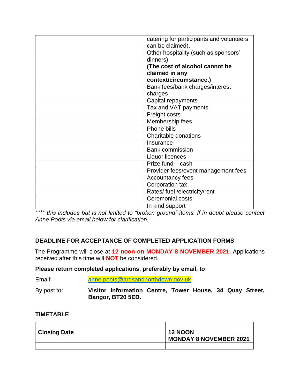| catering for participants and volunteers<br>can be claimed). |
|--------------------------------------------------------------|
| Other hospitality (such as sponsors'                         |
|                                                              |
| dinners)                                                     |
| (The cost of alcohol cannot be                               |
| claimed in any                                               |
| context/circumstance.)                                       |
| Bank fees/bank charges/interest                              |
| charges                                                      |
| Capital repayments                                           |
| Tax and VAT payments                                         |
| Freight costs                                                |
| Membership fees                                              |
| Phone bills                                                  |
| Charitable donations                                         |
| Insurance                                                    |
| <b>Bank commission</b>                                       |
| Liquor licences                                              |
| Prize fund - cash                                            |
| Provider fees/event management fees                          |
| Accountancy fees                                             |
| Corporation tax                                              |
| Rates/ fuel /electricity/rent                                |
| Ceremonial costs                                             |
| In kind support                                              |

*\*\*\*\* this includes but is not limited to "broken ground" items. If in doubt please contact Anne Poots via email below for clarification.* 

# **DEADLINE FOR ACCEPTANCE OF COMPLETED APPLICATION FORMS**

The Programme will close at **12 noon on MONDAY 8 NOVEMBER 2021**. Applications received after this time will **NOT** be considered.

### **Please return completed applications, preferably by email, to**:

| Email:      | anne.poots@ardsandnorthdown.gov.uk                       |  |  |  |
|-------------|----------------------------------------------------------|--|--|--|
| By post to: | Visitor Information Centre, Tower House, 34 Quay Street, |  |  |  |

# **Bangor, BT20 5ED.**

### **TIMETABLE**

| <b>Closing Date</b> | <b>12 NOON</b><br><b>MONDAY 8 NOVEMBER 2021</b> |
|---------------------|-------------------------------------------------|
|                     |                                                 |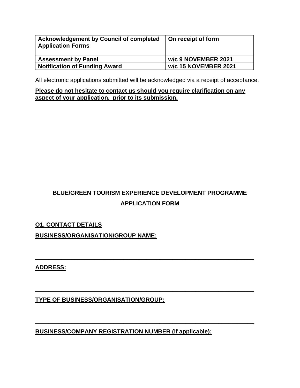| <b>Acknowledgement by Council of completed</b><br><b>Application Forms</b> | On receipt of form   |
|----------------------------------------------------------------------------|----------------------|
| <b>Assessment by Panel</b>                                                 | w/c 9 NOVEMBER 2021  |
| <b>Notification of Funding Award</b>                                       | w/c 15 NOVEMBER 2021 |

All electronic applications submitted will be acknowledged via a receipt of acceptance.

**Please do not hesitate to contact us should you require clarification on any aspect of your application, prior to its submission.**

# **BLUE/GREEN TOURISM EXPERIENCE DEVELOPMENT PROGRAMME APPLICATION FORM**

**\_\_\_\_\_\_\_\_\_\_\_\_\_\_\_\_\_\_\_\_\_\_\_\_\_\_\_\_\_\_\_\_\_\_\_\_\_\_\_\_\_\_\_\_\_\_\_\_\_\_\_\_\_\_\_\_\_\_\_\_\_\_\_\_\_\_\_**

**\_\_\_\_\_\_\_\_\_\_\_\_\_\_\_\_\_\_\_\_\_\_\_\_\_\_\_\_\_\_\_\_\_\_\_\_\_\_\_\_\_\_\_\_\_\_\_\_\_\_\_\_\_\_\_\_\_\_\_\_\_\_\_\_\_\_\_**

**\_\_\_\_\_\_\_\_\_\_\_\_\_\_\_\_\_\_\_\_\_\_\_\_\_\_\_\_\_\_\_\_\_\_\_\_\_\_\_\_\_\_\_\_\_\_\_\_\_\_\_\_\_\_\_\_\_\_\_\_\_\_\_\_\_\_\_**

# **Q1. CONTACT DETAILS**

**BUSINESS/ORGANISATION/GROUP NAME:**

**ADDRESS:**

**TYPE OF BUSINESS/ORGANISATION/GROUP:**

**BUSINESS/COMPANY REGISTRATION NUMBER (if applicable):**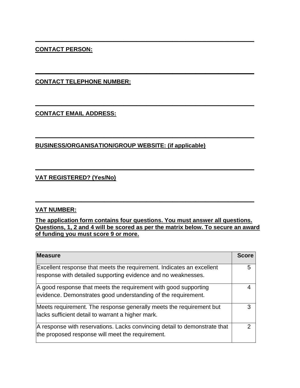# **CONTACT PERSON:**

**CONTACT TELEPHONE NUMBER:**

**CONTACT EMAIL ADDRESS:**

## **BUSINESS/ORGANISATION/GROUP WEBSITE: (if applicable)**

## **VAT REGISTERED? (Yes/No)**

### **VAT NUMBER:**

**The application form contains four questions. You must answer all questions. Questions, 1, 2 and 4 will be scored as per the matrix below. To secure an award of funding you must score 9 or more.**

**\_\_\_\_\_\_\_\_\_\_\_\_\_\_\_\_\_\_\_\_\_\_\_\_\_\_\_\_\_\_\_\_\_\_\_\_\_\_\_\_\_\_\_\_\_\_\_\_\_\_\_\_\_\_\_\_\_\_\_\_\_\_\_\_\_\_\_**

**\_\_\_\_\_\_\_\_\_\_\_\_\_\_\_\_\_\_\_\_\_\_\_\_\_\_\_\_\_\_\_\_\_\_\_\_\_\_\_\_\_\_\_\_\_\_\_\_\_\_\_\_\_\_\_\_\_\_\_\_\_\_\_\_\_\_\_**

**\_\_\_\_\_\_\_\_\_\_\_\_\_\_\_\_\_\_\_\_\_\_\_\_\_\_\_\_\_\_\_\_\_\_\_\_\_\_\_\_\_\_\_\_\_\_\_\_\_\_\_\_\_\_\_\_\_\_\_\_\_\_\_\_\_\_\_**

**\_\_\_\_\_\_\_\_\_\_\_\_\_\_\_\_\_\_\_\_\_\_\_\_\_\_\_\_\_\_\_\_\_\_\_\_\_\_\_\_\_\_\_\_\_\_\_\_\_\_\_\_\_\_\_\_\_\_\_\_\_\_\_\_\_\_\_**

**\_\_\_\_\_\_\_\_\_\_\_\_\_\_\_\_\_\_\_\_\_\_\_\_\_\_\_\_\_\_\_\_\_\_\_\_\_\_\_\_\_\_\_\_\_\_\_\_\_\_\_\_\_\_\_\_\_\_\_\_\_\_\_\_\_\_\_**

**\_\_\_\_\_\_\_\_\_\_\_\_\_\_\_\_\_\_\_\_\_\_\_\_\_\_\_\_\_\_\_\_\_\_\_\_\_\_\_\_\_\_\_\_\_\_\_\_\_\_\_\_\_\_\_\_\_\_\_\_\_\_\_\_\_\_\_**

| <b>Measure</b>                                                                                                                         | <b>Score</b> |
|----------------------------------------------------------------------------------------------------------------------------------------|--------------|
| Excellent response that meets the requirement. Indicates an excellent<br>response with detailed supporting evidence and no weaknesses. | 5            |
| A good response that meets the requirement with good supporting<br>evidence. Demonstrates good understanding of the requirement.       |              |
| Meets requirement. The response generally meets the requirement but<br>lacks sufficient detail to warrant a higher mark.               | 3            |
| A response with reservations. Lacks convincing detail to demonstrate that<br>the proposed response will meet the requirement.          | າ            |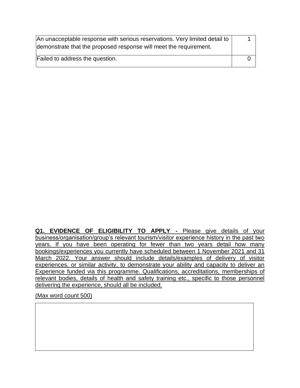| An unacceptable response with serious reservations. Very limited detail to<br>demonstrate that the proposed response will meet the requirement. |  |
|-------------------------------------------------------------------------------------------------------------------------------------------------|--|
| Failed to address the question.                                                                                                                 |  |

**Q1. EVIDENCE OF ELIGIBILITY TO APPLY -** Please give details of your business/organisation/group's relevant tourism/visitor experience history in the past two years. If you have been operating for fewer than two years detail how many bookings/experiences you currently have scheduled between 1 November 2021 and 31 March 2022. Your answer should include details/examples of delivery of visitor experiences, or similar activity, to demonstrate your ability and capacity to deliver an Experience funded via this programme. Qualifications, accreditations, memberships of relevant bodies, details of health and safety training etc., specific to those personnel delivering the experience, should all be included.

(Max word count 500)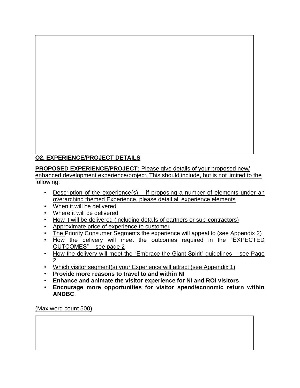# **Q2. EXPERIENCE/PROJECT DETAILS**

**PROPOSED EXPERIENCE/PROJECT:** Please give details of your proposed new/ enhanced development experience/project. This should include, but is not limited to the following:

- Description of the experience(s) if proposing a number of elements under an overarching themed Experience, please detail all experience elements
- When it will be delivered
- Where it will be delivered
- How it will be delivered (including details of partners or sub-contractors)
- Approximate price of experience to customer
- The Priority Consumer Segments the experience will appeal to (see Appendix 2)
- How the delivery will meet the outcomes required in the "EXPECTED OUTCOMES" - see page 2
- How the delivery will meet the "Embrace the Giant Spirit" guidelines see Page 2.
- Which visitor segment(s) your Experience will attract (see Appendix 1)
- **Provide more reasons to travel to and within NI**
- **Enhance and animate the visitor experience for NI and ROI visitors**
- **Encourage more opportunities for visitor spend/economic return within ANDBC**.

(Max word count 500)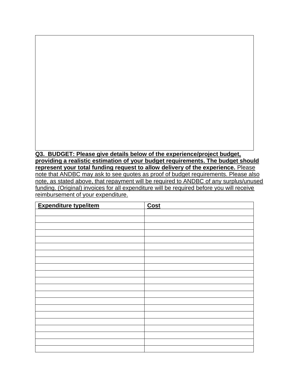**Q3. BUDGET: Please give details below of the experience/project budget, providing a realistic estimation of your budget requirements. The budget should represent your total funding request to allow delivery of the experience.** Please note that ANDBC may ask to see quotes as proof of budget requirements. Please also note, as stated above, that repayment will be required to ANDBC of any surplus/unused funding. (Original) invoices for all expenditure will be required before you will receive reimbursement of your expenditure.

| <b>Expenditure type/item</b> | Cost |
|------------------------------|------|
|                              |      |
|                              |      |
|                              |      |
|                              |      |
|                              |      |
|                              |      |
|                              |      |
|                              |      |
|                              |      |
|                              |      |
|                              |      |
|                              |      |
|                              |      |
|                              |      |
|                              |      |
|                              |      |
|                              |      |
|                              |      |
|                              |      |
|                              |      |
|                              |      |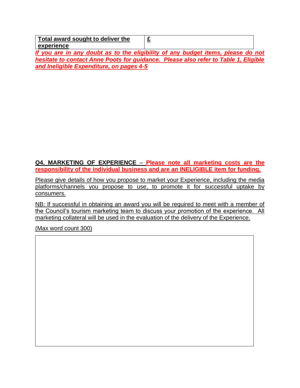| Total award sought to deliver the        |                                                                                     |  |
|------------------------------------------|-------------------------------------------------------------------------------------|--|
| experience                               |                                                                                     |  |
|                                          | If you are in any doubt as to the eligibility of any budget items, please do not    |  |
|                                          | hesitate to contact Anne Poots for guidance. Please also refer to Table 1, Eligible |  |
| and Ineligible Expenditure, on pages 4-5 |                                                                                     |  |

### **Q4. MARKETING OF EXPERIENCE** – **Please note all marketing costs are the responsibility of the individual business and are an INELIGIBLE item for funding.**

Please give details of how you propose to market your Experience, including the media platforms/channels you propose to use, to promote it for successful uptake by consumers.

NB: If successful in obtaining an award you will be required to meet with a member of the Council's tourism marketing team to discuss your promotion of the experience. All marketing collateral will be used in the evaluation of the delivery of the Experience.

(Max word count 300)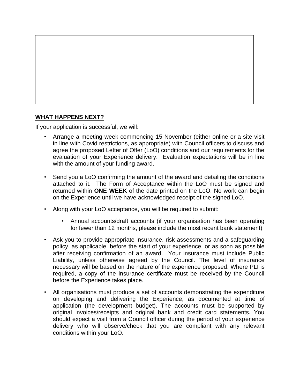

## **WHAT HAPPENS NEXT?**

If your application is successful, we will:

- Arrange a meeting week commencing 15 November (either online or a site visit in line with Covid restrictions, as appropriate) with Council officers to discuss and agree the proposed Letter of Offer (LoO) conditions and our requirements for the evaluation of your Experience delivery. Evaluation expectations will be in line with the amount of your funding award.
- Send you a LoO confirming the amount of the award and detailing the conditions attached to it. The Form of Acceptance within the LoO must be signed and returned within **ONE WEEK** of the date printed on the LoO. No work can begin on the Experience until we have acknowledged receipt of the signed LoO.
- Along with your LoO acceptance, you will be required to submit:
	- Annual accounts/draft accounts (if your organisation has been operating for fewer than 12 months, please include the most recent bank statement)
- Ask you to provide appropriate insurance, risk assessments and a safeguarding policy, as applicable, before the start of your experience, or as soon as possible after receiving confirmation of an award. Your insurance must include Public Liability, unless otherwise agreed by the Council. The level of insurance necessary will be based on the nature of the experience proposed. Where PLI is required, a copy of the insurance certificate must be received by the Council before the Experience takes place.
- All organisations must produce a set of accounts demonstrating the expenditure on developing and delivering the Experience, as documented at time of application (the development budget). The accounts must be supported by original invoices/receipts and original bank and credit card statements. You should expect a visit from a Council officer during the period of your experience delivery who will observe/check that you are compliant with any relevant conditions within your LoO.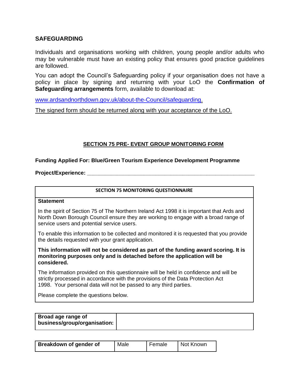### **SAFEGUARDING**

Individuals and organisations working with children, young people and/or adults who may be vulnerable must have an existing policy that ensures good practice guidelines are followed.

You can adopt the Council's Safeguarding policy if your organisation does not have a policy in place by signing and returning with your LoO the **Confirmation of Safeguarding arrangements** form, available to download at:

[www.ardsandnorthdown.gov.uk/about-the-Council/safeguarding.](http://www.ardsandnorthdown.gov.uk/about-the-council/safeguarding)

The signed form should be returned along with your acceptance of the LoO.

### **SECTION 75 PRE- EVENT GROUP MONITORING FORM**

### **Funding Applied For: Blue/Green Tourism Experience Development Programme**

**Project/Experience:** 

#### **SECTION 75 MONITORING QUESTIONNAIRE**

#### **Statement**

In the spirit of Section 75 of The Northern Ireland Act 1998 it is important that Ards and North Down Borough Council ensure they are working to engage with a broad range of service users and potential service users.

To enable this information to be collected and monitored it is requested that you provide the details requested with your grant application.

**This information will not be considered as part of the funding award scoring. It is monitoring purposes only and is detached before the application will be considered.**

The information provided on this questionnaire will be held in confidence and will be strictly processed in accordance with the provisions of the Data Protection Act 1998. Your personal data will not be passed to any third parties.

Please complete the questions below.

| Broad age range of<br>business/group/organisation: |  |
|----------------------------------------------------|--|
|                                                    |  |

| <b>Breakdown of gender of</b> | Male | Female | Not Known |
|-------------------------------|------|--------|-----------|
|-------------------------------|------|--------|-----------|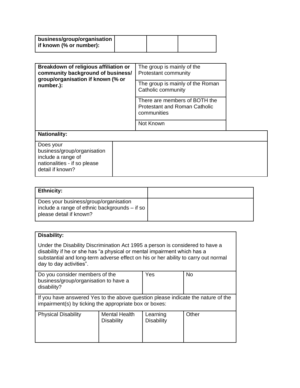| business/group/organisation  <br>if known (% or number): |  |  |
|----------------------------------------------------------|--|--|
|                                                          |  |  |

| Breakdown of religious affiliation or<br>community background of business/<br>group/organisation if known (% or<br>number.): | The group is mainly of the<br>Protestant community                                   |
|------------------------------------------------------------------------------------------------------------------------------|--------------------------------------------------------------------------------------|
|                                                                                                                              | The group is mainly of the Roman<br>Catholic community                               |
|                                                                                                                              | There are members of BOTH the<br><b>Protestant and Roman Catholic</b><br>communities |
|                                                                                                                              | Not Known                                                                            |

# **Nationality:** Does your business/group/organisation include a range of nationalities - if so please detail if known?

| <b>Ethnicity:</b>                                                                                                   |  |
|---------------------------------------------------------------------------------------------------------------------|--|
| Does your business/group/organisation<br>include a range of ethnic backgrounds $-$ if so<br>please detail if known? |  |

# **Disability:**

Under the Disability Discrimination Act 1995 a person is considered to have a disability if he or she has "a physical or mental impairment which has a substantial and long-term adverse effect on his or her ability to carry out normal day to day activities".

| Do you consider members of the<br>business/group/organisation to have a<br>disability? |                                           | Yes                           | No    |
|----------------------------------------------------------------------------------------|-------------------------------------------|-------------------------------|-------|
| If you have answered Yes to the above question please indicate the nature of the       |                                           |                               |       |
| impairment(s) by ticking the appropriate box or boxes:                                 |                                           |                               |       |
|                                                                                        |                                           |                               |       |
| <b>Physical Disability</b>                                                             | <b>Mental Health</b><br><b>Disability</b> | Learning<br><b>Disability</b> | Other |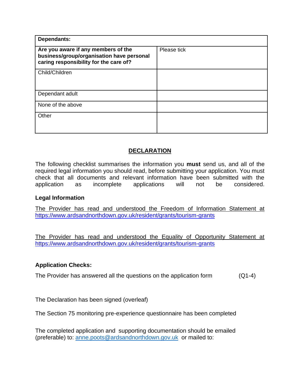| <b>Dependants:</b>                                                                                                         |             |
|----------------------------------------------------------------------------------------------------------------------------|-------------|
| Are you aware if any members of the<br>business/group/organisation have personal<br>caring responsibility for the care of? | Please tick |
| Child/Children                                                                                                             |             |
| Dependant adult                                                                                                            |             |
| None of the above                                                                                                          |             |
| Other                                                                                                                      |             |

# **DECLARATION**

The following checklist summarises the information you **must** send us, and all of the required legal information you should read, before submitting your application. You must check that all documents and relevant information have been submitted with the application as incomplete applications will not be considered.

### **Legal Information**

The Provider has read and understood the Freedom of Information Statement at <https://www.ardsandnorthdown.gov.uk/resident/grants/tourism-grants>

The Provider has read and understood the Equality of Opportunity Statement at <https://www.ardsandnorthdown.gov.uk/resident/grants/tourism-grants>

### **Application Checks:**

The Provider has answered all the questions on the application form (Q1-4)

The Declaration has been signed (overleaf)

The Section 75 monitoring pre-experience questionnaire has been completed

The completed application and supporting documentation should be emailed (preferable) to: [anne.poots@ardsandnorthdown.gov.uk](mailto:anne.poots@ardsandnorthdown.gov.uk) or mailed to: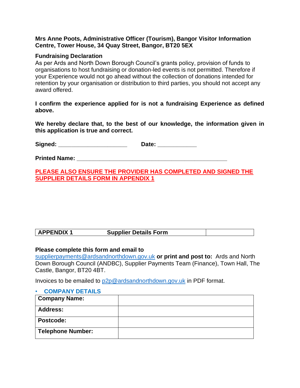### **Mrs Anne Poots, Administrative Officer (Tourism), Bangor Visitor Information Centre, Tower House, 34 Quay Street, Bangor, BT20 5EX**

### **Fundraising Declaration**

As per Ards and North Down Borough Council's grants policy, provision of funds to organisations to host fundraising or donation-led events is not permitted. Therefore if your Experience would not go ahead without the collection of donations intended for retention by your organisation or distribution to third parties, you should not accept any award offered.

**I confirm the experience applied for is not a fundraising Experience as defined above.** 

**We hereby declare that, to the best of our knowledge, the information given in this application is true and correct.**

Signed: **Contract Contract Contract Contract Contract Contract Contract Contract Contract Contract Contract Contract Contract Contract Contract Contract Contract Contract Contract Contract Contract Contract Contract Contra** 

**Printed Name:**  $\blacksquare$ 

**PLEASE ALSO ENSURE THE PROVIDER HAS COMPLETED AND SIGNED THE SUPPLIER DETAILS FORM IN APPENDIX 1** 

| <b>APPENDIX</b><br><b>Supplier Details Form</b> |  |
|-------------------------------------------------|--|
|-------------------------------------------------|--|

### **Please complete this form and email to**

[supplierpayments@ardsandnorthdown.gov.uk](mailto:supplierpayments@ardsandnorthdown.gov.uk) **or print and post to:** Ards and North Down Borough Council (ANDBC), Supplier Payments Team (Finance), Town Hall, The Castle, Bangor, BT20 4BT.

Invoices to be emailed to [p2p@ardsandnorthdown.gov.uk](mailto:p2p@ardsandnorthdown.gov.uk) in PDF format.

#### • **COMPANY DETAILS**

| <b>Company Name:</b> |  |
|----------------------|--|
| <b>Address:</b>      |  |
| <b>Postcode:</b>     |  |
| Telephone Number:    |  |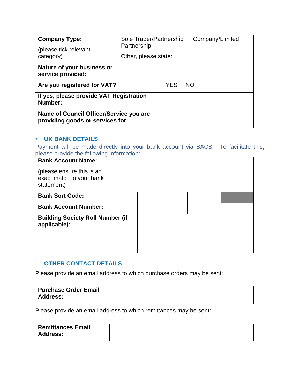| Sole Trader/Partnership<br><b>Company Type:</b><br>Partnership<br>(please tick relevant |                      |            | Company/Limited |
|-----------------------------------------------------------------------------------------|----------------------|------------|-----------------|
| category)                                                                               | Other, please state: |            |                 |
| Nature of your business or<br>service provided:                                         |                      |            |                 |
| Are you registered for VAT?                                                             |                      | <b>YES</b> | <b>NO</b>       |
| If yes, please provide VAT Registration<br>Number:                                      |                      |            |                 |
| Name of Council Officer/Service you are<br>providing goods or services for:             |                      |            |                 |

### • **UK BANK DETAILS**

Payment will be made directly into your bank account via BACS. To facilitate this, please provide the following information:

| <b>Bank Account Name:</b><br>(please ensure this is an<br>exact match to your bank<br>statement) |  |  |  |  |  |
|--------------------------------------------------------------------------------------------------|--|--|--|--|--|
| <b>Bank Sort Code:</b>                                                                           |  |  |  |  |  |
| <b>Bank Account Number:</b>                                                                      |  |  |  |  |  |
| <b>Building Society Roll Number (if</b><br>applicable):                                          |  |  |  |  |  |
|                                                                                                  |  |  |  |  |  |
|                                                                                                  |  |  |  |  |  |

## **OTHER CONTACT DETAILS**

Please provide an email address to which purchase orders may be sent:

| Purchase Order Email |  |
|----------------------|--|
| <b>Address:</b>      |  |
|                      |  |

Please provide an email address to which remittances may be sent:

| <b>Remittances Email</b> |  |
|--------------------------|--|
| <b>Address:</b>          |  |
|                          |  |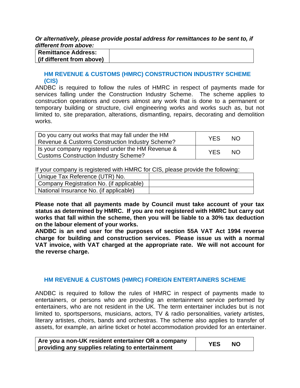#### *Or alternatively, please provide postal address for remittances to be sent to, if different from above:*

| <b>Remittance Address:</b> |  |
|----------------------------|--|
| (if different from above)  |  |

### **HM REVENUE & CUSTOMS (HMRC) CONSTRUCTION INDUSTRY SCHEME (CIS)**

ANDBC is required to follow the rules of HMRC in respect of payments made for services falling under the Construction Industry Scheme. The scheme applies to construction operations and covers almost any work that is done to a permanent or temporary building or structure, civil engineering works and works such as, but not limited to, site preparation, alterations, dismantling, repairs, decorating and demolition works.

| Do you carry out works that may fall under the HM<br>Revenue & Customs Construction Industry Scheme? | <b>YES</b> | NO. |
|------------------------------------------------------------------------------------------------------|------------|-----|
| Is your company registered under the HM Revenue &<br><b>Customs Construction Industry Scheme?</b>    | <b>YES</b> | NO. |

If your company is registered with HMRC for CIS, please provide the following:

| Unique Tax Reference (UTR) No.           |  |
|------------------------------------------|--|
| Company Registration No. (if applicable) |  |
| National Insurance No. (if applicable)   |  |

**Please note that all payments made by Council must take account of your tax status as determined by HMRC. If you are not registered with HMRC but carry out works that fall within the scheme, then you will be liable to a 30% tax deduction on the labour element of your works.**

**ANDBC is an end user for the purposes of section 55A VAT Act 1994 reverse charge for building and construction services. Please issue us with a normal VAT invoice, with VAT charged at the appropriate rate. We will not account for the reverse charge.**

### **HM REVENUE & CUSTOMS (HMRC) FOREIGN ENTERTAINERS SCHEME**

ANDBC is required to follow the rules of HMRC in respect of payments made to entertainers, or persons who are providing an entertainment service performed by entertainers, who are not resident in the UK. The term entertainer includes but is not limited to, sportspersons, musicians, actors, TV & radio personalities, variety artistes, literary artistes, choirs, bands and orchestras. The scheme also applies to transfer of assets, for example, an airline ticket or hotel accommodation provided for an entertainer.

| Are you a non-UK resident entertainer OR a company | YES | <b>NO</b> |  |
|----------------------------------------------------|-----|-----------|--|
| providing any supplies relating to entertainment   |     |           |  |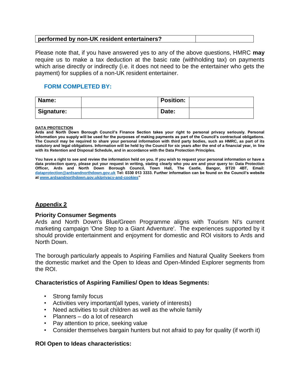# **performed by non-UK resident entertainers?**

Please note that, if you have answered yes to any of the above questions, HMRC **may** require us to make a tax deduction at the basic rate (withholding tax) on payments which arise directly or indirectly (i.e. it does not need to be the entertainer who gets the payment) for supplies of a non-UK resident entertainer.

### **FORM COMPLETED BY:**

| Name:             | <b>Position:</b> |  |
|-------------------|------------------|--|
| <b>Signature:</b> | Date:            |  |

#### **DATA PROTECTION**

**Ards and North Down Borough Council's Finance Section takes your right to personal privacy seriously. Personal information you supply will be used for the purposes of making payments as part of the Council's contractual obligations. The Council may be required to share your personal information with third party bodies, such as HMRC, as part of its statutory and legal obligations. Information will be held by the Council for six years after the end of a financial year, in line with its Retention and Disposal Schedule, and in accordance with the Data Protection Principles.**

**You have a right to see and review the information held on you. If you wish to request your personal information or have a data protection query, please put your request in writing, stating clearly who you are and your query to: Data Protection Officer, Ards and North Down Borough Council, Town Hall, The Castle, Bangor, BT20 4BT, Email: [dataprotection@ardsandnorthdown.gov.uk](mailto:dataprotection@ardsandnorthdown.gov.uk) Tel: 0330 013 3333. Further information can be found on the Council's website a[t www.ardsandnorthdown.gov.uk/privacy-and-cookies"](https://emea01.safelinks.protection.outlook.com/?url=http%3A%2F%2Fwww.ardsandnorthdown.gov.uk%2Fprivacy-and-cookies&data=02%7C01%7C%7C8105b27dd9d64af6b3a408d5ab75093a%7C39416dee5c8e4f5cb59d05c4bd0dd472%7C0%7C0%7C636603441498721082&sdata=YdO10EbE4CRQCjg0w%2Fc%2F6OCYrhas4xAsjt9k54dmRr0%3D&reserved=0)** 

### **Appendix 2**

### **Priority Consumer Segments**

Ards and North Down's Blue/Green Programme aligns with Tourism NI's current marketing campaign 'One Step to a Giant Adventure'. The experiences supported by it should provide entertainment and enjoyment for domestic and ROI visitors to Ards and North Down.

The borough particularly appeals to Aspiring Families and Natural Quality Seekers from the domestic market and the Open to Ideas and Open-Minded Explorer segments from the ROI.

### **Characteristics of Aspiring Families/ Open to Ideas Segments:**

- Strong family focus
- Activities very important(all types, variety of interests)
- Need activities to suit children as well as the whole family
- Planners do a lot of research
- Pay attention to price, seeking value
- Consider themselves bargain hunters but not afraid to pay for quality (if worth it)

### **ROI Open to Ideas characteristics:**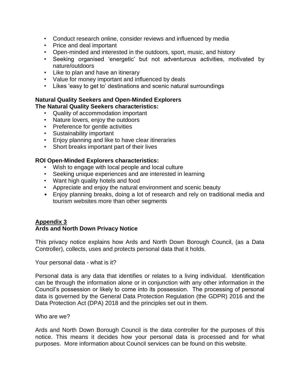- Conduct research online, consider reviews and influenced by media
- Price and deal important
- Open-minded and interested in the outdoors, sport, music, and history
- Seeking organised 'energetic' but not adventurous activities, motivated by nature/outdoors
- Like to plan and have an itinerary
- Value for money important and influenced by deals
- Likes 'easy to get to' destinations and scenic natural surroundings

### **Natural Quality Seekers and Open-Minded Explorers The Natural Quality Seekers characteristics:**

- Quality of accommodation important
- Nature lovers, enjoy the outdoors
- Preference for gentle activities
- Sustainability important
- Enjoy planning and like to have clear itineraries
- Short breaks important part of their lives

### **ROI Open-Minded Explorers characteristics:**

- Wish to engage with local people and local culture
- Seeking unique experiences and are interested in learning
- Want high quality hotels and food
- Appreciate and enjoy the natural environment and scenic beauty
- Enjoy planning breaks, doing a lot of research and rely on traditional media and tourism websites more than other segments

### **Appendix 3 Ards and North Down Privacy Notice**

This privacy notice explains how Ards and North Down Borough Council, (as a Data Controller), collects, uses and protects personal data that it holds.

Your personal data - what is it?

Personal data is any data that identifies or relates to a living individual. Identification can be through the information alone or in conjunction with any other information in the Council's possession or likely to come into its possession. The processing of personal data is governed by the General Data Protection Regulation (the GDPR) 2016 and the Data Protection Act (DPA) 2018 and the principles set out in them.

### Who are we?

Ards and North Down Borough Council is the data controller for the purposes of this notice. This means it decides how your personal data is processed and for what purposes. More information about Council services can be found on this website.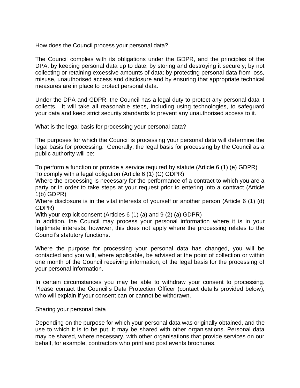How does the Council process your personal data?

The Council complies with its obligations under the GDPR, and the principles of the DPA, by keeping personal data up to date; by storing and destroying it securely; by not collecting or retaining excessive amounts of data; by protecting personal data from loss, misuse, unauthorised access and disclosure and by ensuring that appropriate technical measures are in place to protect personal data.

Under the DPA and GDPR, the Council has a legal duty to protect any personal data it collects. It will take all reasonable steps, including using technologies, to safeguard your data and keep strict security standards to prevent any unauthorised access to it.

What is the legal basis for processing your personal data?

The purposes for which the Council is processing your personal data will determine the legal basis for processing. Generally, the legal basis for processing by the Council as a public authority will be:

To perform a function or provide a service required by statute (Article 6 (1) (e) GDPR) To comply with a legal obligation (Article 6 (1) (C) GDPR)

Where the processing is necessary for the performance of a contract to which you are a party or in order to take steps at your request prior to entering into a contract (Article 1(b) GDPR)

Where disclosure is in the vital interests of yourself or another person (Article 6 (1) (d) GDPR)

With your explicit consent (Articles 6 (1) (a) and 9 (2) (a) GDPR)

In addition, the Council may process your personal information where it is in your legitimate interests, however, this does not apply where the processing relates to the Council's statutory functions.

Where the purpose for processing your personal data has changed, you will be contacted and you will, where applicable, be advised at the point of collection or within one month of the Council receiving information, of the legal basis for the processing of your personal information.

In certain circumstances you may be able to withdraw your consent to processing. Please contact the Council's Data Protection Officer (contact details provided below), who will explain if your consent can or cannot be withdrawn.

Sharing your personal data

Depending on the purpose for which your personal data was originally obtained, and the use to which it is to be put, it may be shared with other organisations. Personal data may be shared, where necessary, with other organisations that provide services on our behalf, for example, contractors who print and post events brochures.